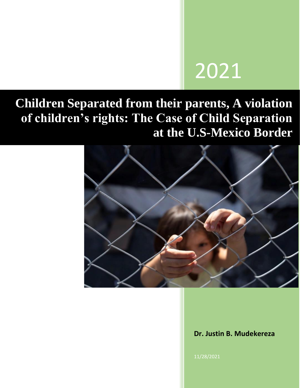# 2021

# **Children Separated from their parents, A violation of children's rights: The Case of Child Separation at the U.S-Mexico Border**



**Dr. Justin B. Mudekereza** 

11/28/2021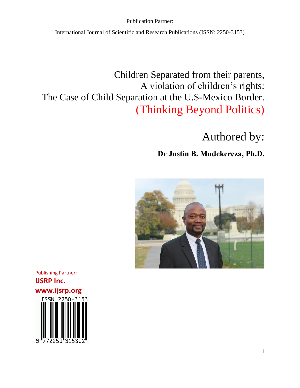International Journal of Scientific and Research Publications (ISSN: 2250-3153)

### Children Separated from their parents, A violation of children's rights: The Case of Child Separation at the U.S-Mexico Border. (Thinking Beyond Politics)

# Authored by:

### **Dr Justin B. Mudekereza, Ph.D.**



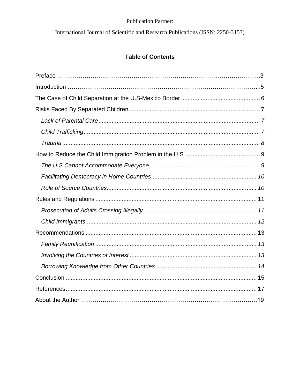International Journal of Scientific and Research Publications (ISSN: 2250-3153)

#### **Table of Contents**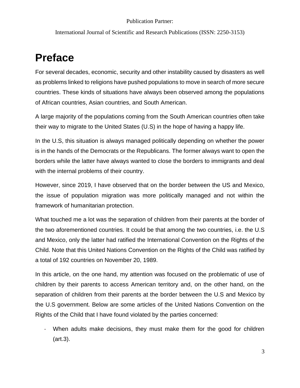International Journal of Scientific and Research Publications (ISSN: 2250-3153)

## **Preface**

For several decades, economic, security and other instability caused by disasters as well as problems linked to religions have pushed populations to move in search of more secure countries. These kinds of situations have always been observed among the populations of African countries, Asian countries, and South American.

A large majority of the populations coming from the South American countries often take their way to migrate to the United States (U.S) in the hope of having a happy life.

In the U.S, this situation is always managed politically depending on whether the power is in the hands of the Democrats or the Republicans. The former always want to open the borders while the latter have always wanted to close the borders to immigrants and deal with the internal problems of their country.

However, since 2019, I have observed that on the border between the US and Mexico, the issue of population migration was more politically managed and not within the framework of humanitarian protection.

What touched me a lot was the separation of children from their parents at the border of the two aforementioned countries. It could be that among the two countries, i.e. the U.S and Mexico, only the latter had ratified the International Convention on the Rights of the Child. Note that this United Nations Convention on the Rights of the Child was ratified by a total of 192 countries on November 20, 1989.

In this article, on the one hand, my attention was focused on the problematic of use of children by their parents to access American territory and, on the other hand, on the separation of children from their parents at the border between the U.S and Mexico by the U.S government. Below are some articles of the United Nations Convention on the Rights of the Child that I have found violated by the parties concerned:

- When adults make decisions, they must make them for the good for children (art.3).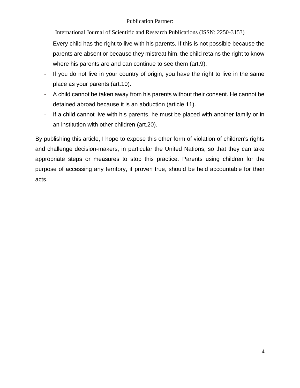International Journal of Scientific and Research Publications (ISSN: 2250-3153)

- Every child has the right to live with his parents. If this is not possible because the parents are absent or because they mistreat him, the child retains the right to know where his parents are and can continue to see them (art.9).
- If you do not live in your country of origin, you have the right to live in the same place as your parents (art.10).
- A child cannot be taken away from his parents without their consent. He cannot be detained abroad because it is an abduction (article 11).
- If a child cannot live with his parents, he must be placed with another family or in an institution with other children (art.20).

By publishing this article, I hope to expose this other form of violation of children's rights and challenge decision-makers, in particular the United Nations, so that they can take appropriate steps or measures to stop this practice. Parents using children for the purpose of accessing any territory, if proven true, should be held accountable for their acts.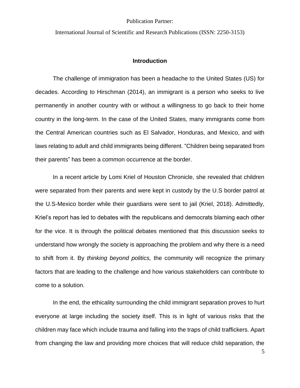International Journal of Scientific and Research Publications (ISSN: 2250-3153)

#### **Introduction**

The challenge of immigration has been a headache to the United States (US) for decades. According to Hirschman (2014), an immigrant is a person who seeks to live permanently in another country with or without a willingness to go back to their home country in the long-term. In the case of the United States, many immigrants come from the Central American countries such as El Salvador, Honduras, and Mexico, and with laws relating to adult and child immigrants being different. "Children being separated from their parents" has been a common occurrence at the border.

In a recent article by Lomi Kriel of Houston Chronicle, she revealed that children were separated from their parents and were kept in custody by the U.S border patrol at the U.S-Mexico border while their guardians were sent to jail (Kriel, 2018). Admittedly, Kriel's report has led to debates with the republicans and democrats blaming each other for the vice. It is through the political debates mentioned that this discussion seeks to understand how wrongly the society is approaching the problem and why there is a need to shift from it. By *thinking beyond politics,* the community will recognize the primary factors that are leading to the challenge and how various stakeholders can contribute to come to a solution.

In the end, the ethicality surrounding the child immigrant separation proves to hurt everyone at large including the society itself. This is in light of various risks that the children may face which include trauma and falling into the traps of child traffickers. Apart from changing the law and providing more choices that will reduce child separation, the

5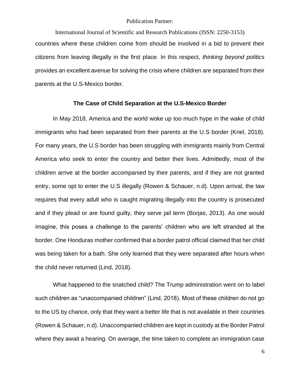International Journal of Scientific and Research Publications (ISSN: 2250-3153) countries where these children come from should be involved in a bid to prevent their citizens from leaving illegally in the first place. In this respect, *thinking beyond politics*  provides an excellent avenue for solving the crisis where children are separated from their parents at the U.S-Mexico border.

#### **The Case of Child Separation at the U.S-Mexico Border**

<span id="page-6-0"></span>In May 2018, America and the world woke up too much hype in the wake of child immigrants who had been separated from their parents at the U.S border (Kriel, 2018). For many years, the U.S border has been struggling with immigrants mainly from Central America who seek to enter the country and better their lives. Admittedly, most of the children arrive at the border accompanied by their parents, and if they are not granted entry, some opt to enter the U.S illegally (Rowen & Schauer, n.d). Upon arrival, the law requires that every adult who is caught migrating illegally into the country is prosecuted and if they plead or are found guilty, they serve jail term (Borjas, 2013). As one would imagine, this poses a challenge to the parents' children who are left stranded at the border. One Honduras mother confirmed that a border patrol official claimed that her child was being taken for a bath. She only learned that they were separated after hours when the child never returned (Lind, 2018).

What happened to the snatched child? The Trump administration went on to label such children as "unaccompanied children" (Lind, 2018). Most of these children do not go to the US by chance, only that they want a better life that is not available in their countries (Rowen & Schauer, n.d). Unaccompanied children are kept in custody at the Border Patrol where they await a hearing. On average, the time taken to complete an immigration case

6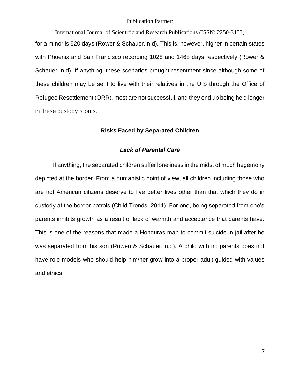International Journal of Scientific and Research Publications (ISSN: 2250-3153)

for a minor is 520 days (Rower & Schauer, n.d). This is, however, higher in certain states with Phoenix and San Francisco recording 1028 and 1468 days respectively (Rower & Schauer, n.d). If anything, these scenarios brought resentment since although some of these children may be sent to live with their relatives in the U.S through the Office of Refugee Resettlement (ORR), most are not successful, and they end up being held longer in these custody rooms.

#### **Risks Faced by Separated Children**

#### *Lack of Parental Care*

<span id="page-7-1"></span><span id="page-7-0"></span>If anything, the separated children suffer loneliness in the midst of much hegemony depicted at the border. From a humanistic point of view, all children including those who are not American citizens deserve to live better lives other than that which they do in custody at the border patrols (Child Trends, 2014). For one, being separated from one's parents inhibits growth as a result of lack of warmth and acceptance that parents have. This is one of the reasons that made a Honduras man to commit suicide in jail after he was separated from his son (Rowen & Schauer, n.d). A child with no parents does not have role models who should help him/her grow into a proper adult guided with values and ethics.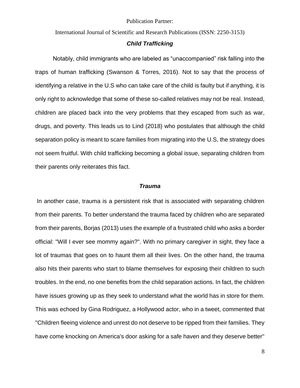International Journal of Scientific and Research Publications (ISSN: 2250-3153)

#### *Child Trafficking*

<span id="page-8-0"></span>Notably, child immigrants who are labeled as "unaccompanied" risk falling into the traps of human trafficking (Swanson & Torres, 2016). Not to say that the process of identifying a relative in the U.S who can take care of the child is faulty but if anything, it is only right to acknowledge that some of these so-called relatives may not be real. Instead, children are placed back into the very problems that they escaped from such as war, drugs, and poverty. This leads us to Lind (2018) who postulates that although the child separation policy is meant to scare families from migrating into the U.S, the strategy does not seem fruitful. With child trafficking becoming a global issue, separating children from their parents only reiterates this fact.

#### *Trauma*

<span id="page-8-1"></span>In another case, trauma is a persistent risk that is associated with separating children from their parents. To better understand the trauma faced by children who are separated from their parents, Borjas (2013) uses the example of a frustrated child who asks a border official: "Will I ever see mommy again?". With no primary caregiver in sight, they face a lot of traumas that goes on to haunt them all their lives. On the other hand, the trauma also hits their parents who start to blame themselves for exposing their children to such troubles. In the end, no one benefits from the child separation actions. In fact, the children have issues growing up as they seek to understand what the world has in store for them. This was echoed by Gina Rodriguez, a Hollywood actor, who in a tweet, commented that "Children fleeing violence and unrest do not deserve to be ripped from their families. They have come knocking on America's door asking for a safe haven and they deserve better"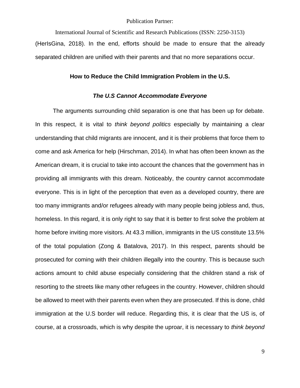International Journal of Scientific and Research Publications (ISSN: 2250-3153)

<span id="page-9-0"></span>(HerIsGina, 2018). In the end, efforts should be made to ensure that the already separated children are unified with their parents and that no more separations occur.

#### **How to Reduce the Child Immigration Problem in the U.S.**

#### *The U.S Cannot Accommodate Everyone*

<span id="page-9-1"></span>The arguments surrounding child separation is one that has been up for debate. In this respect, it is vital to *think beyond politics* especially by maintaining a clear understanding that child migrants are innocent, and it is their problems that force them to come and ask America for help (Hirschman, 2014). In what has often been known as the American dream, it is crucial to take into account the chances that the government has in providing all immigrants with this dream. Noticeably, the country cannot accommodate everyone. This is in light of the perception that even as a developed country, there are too many immigrants and/or refugees already with many people being jobless and, thus, homeless. In this regard, it is only right to say that it is better to first solve the problem at home before inviting more visitors. At 43.3 million, immigrants in the US constitute 13.5% of the total population (Zong & Batalova, 2017). In this respect, parents should be prosecuted for coming with their children illegally into the country. This is because such actions amount to child abuse especially considering that the children stand a risk of resorting to the streets like many other refugees in the country. However, children should be allowed to meet with their parents even when they are prosecuted. If this is done, child immigration at the U.S border will reduce. Regarding this, it is clear that the US is, of course, at a crossroads, which is why despite the uproar, it is necessary to *think beyond*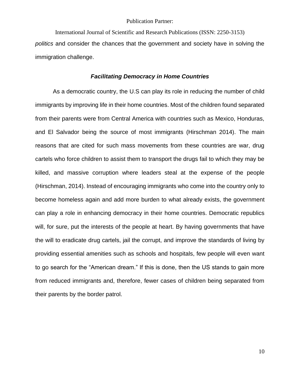International Journal of Scientific and Research Publications (ISSN: 2250-3153) *politics* and consider the chances that the government and society have in solving the immigration challenge.

#### *Facilitating Democracy in Home Countries*

<span id="page-10-0"></span>As a democratic country, the U.S can play its role in reducing the number of child immigrants by improving life in their home countries. Most of the children found separated from their parents were from Central America with countries such as Mexico, Honduras, and El Salvador being the source of most immigrants (Hirschman 2014). The main reasons that are cited for such mass movements from these countries are war, drug cartels who force children to assist them to transport the drugs fail to which they may be killed, and massive corruption where leaders steal at the expense of the people (Hirschman, 2014). Instead of encouraging immigrants who come into the country only to become homeless again and add more burden to what already exists, the government can play a role in enhancing democracy in their home countries. Democratic republics will, for sure, put the interests of the people at heart. By having governments that have the will to eradicate drug cartels, jail the corrupt, and improve the standards of living by providing essential amenities such as schools and hospitals, few people will even want to go search for the "American dream." If this is done, then the US stands to gain more from reduced immigrants and, therefore, fewer cases of children being separated from their parents by the border patrol.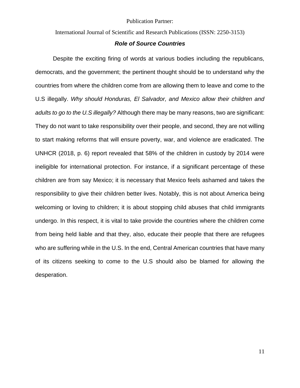International Journal of Scientific and Research Publications (ISSN: 2250-3153)

#### *Role of Source Countries*

<span id="page-11-0"></span>Despite the exciting firing of words at various bodies including the republicans, democrats, and the government; the pertinent thought should be to understand why the countries from where the children come from are allowing them to leave and come to the U.S illegally. *Why should Honduras, El Salvador, and Mexico allow their children and adults to go to the U.S illegally?* Although there may be many reasons, two are significant: They do not want to take responsibility over their people, and second, they are not willing to start making reforms that will ensure poverty, war, and violence are eradicated. The UNHCR (2018, p. 6) report revealed that 58% of the children in custody by 2014 were ineligible for international protection. For instance, if a significant percentage of these children are from say Mexico; it is necessary that Mexico feels ashamed and takes the responsibility to give their children better lives. Notably, this is not about America being welcoming or loving to children; it is about stopping child abuses that child immigrants undergo. In this respect, it is vital to take provide the countries where the children come from being held liable and that they, also, educate their people that there are refugees who are suffering while in the U.S. In the end, Central American countries that have many of its citizens seeking to come to the U.S should also be blamed for allowing the desperation.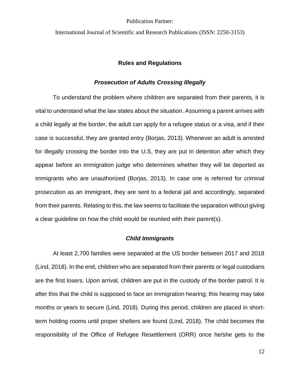<span id="page-12-0"></span>International Journal of Scientific and Research Publications (ISSN: 2250-3153)

#### **Rules and Regulations**

#### *Prosecution of Adults Crossing Illegally*

<span id="page-12-1"></span>To understand the problem where children are separated from their parents, it is vital to understand what the law states about the situation. Assuming a parent arrives with a child legally at the border, the adult can apply for a refugee status or a visa, and if their case is successful, they are granted entry (Borjas, 2013). Whenever an adult is arrested for illegally crossing the border into the U.S, they are put in detention after which they appear before an immigration judge who determines whether they will be deported as immigrants who are unauthorized (Borjas, 2013). In case one is referred for criminal prosecution as an immigrant, they are sent to a federal jail and accordingly, separated from their parents. Relating to this, the law seems to facilitate the separation without giving a clear guideline on how the child would be reunited with their parent(s).

#### *Child Immigrants*

<span id="page-12-2"></span>At least 2,700 families were separated at the US border between 2017 and 2018 (Lind, 2018). In the end, children who are separated from their parents or legal custodians are the first losers. Upon arrival, children are put in the custody of the border patrol. It is after this that the child is supposed to face an immigration hearing; this hearing may take months or years to secure (Lind, 2018). During this period, children are placed in shortterm holding rooms until proper shelters are found (Lind, 2018). The child becomes the responsibility of the Office of Refugee Resettlement (ORR) once he/she gets to the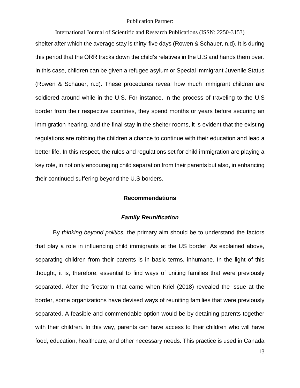International Journal of Scientific and Research Publications (ISSN: 2250-3153) shelter after which the average stay is thirty-five days (Rowen & Schauer, n.d). It is during this period that the ORR tracks down the child's relatives in the U.S and hands them over. In this case, children can be given a refugee asylum or Special Immigrant Juvenile Status (Rowen & Schauer, n.d). These procedures reveal how much immigrant children are soldiered around while in the U.S. For instance, in the process of traveling to the U.S border from their respective countries, they spend months or years before securing an immigration hearing, and the final stay in the shelter rooms, it is evident that the existing regulations are robbing the children a chance to continue with their education and lead a better life. In this respect, the rules and regulations set for child immigration are playing a key role, in not only encouraging child separation from their parents but also, in enhancing their continued suffering beyond the U.S borders.

#### **Recommendations**

#### *Family Reunification*

<span id="page-13-1"></span><span id="page-13-0"></span>By *thinking beyond politics,* the primary aim should be to understand the factors that play a role in influencing child immigrants at the US border. As explained above, separating children from their parents is in basic terms, inhumane. In the light of this thought, it is, therefore, essential to find ways of uniting families that were previously separated. After the firestorm that came when Kriel (2018) revealed the issue at the border, some organizations have devised ways of reuniting families that were previously separated. A feasible and commendable option would be by detaining parents together with their children. In this way, parents can have access to their children who will have food, education, healthcare, and other necessary needs. This practice is used in Canada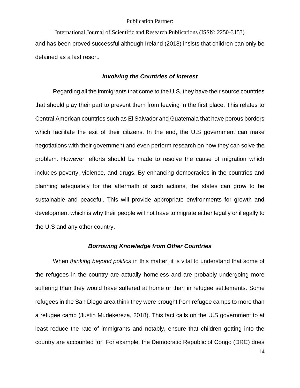International Journal of Scientific and Research Publications (ISSN: 2250-3153) and has been proved successful although Ireland (2018) insists that children can only be detained as a last resort.

#### *Involving the Countries of Interest*

<span id="page-14-0"></span>Regarding all the immigrants that come to the U.S, they have their source countries that should play their part to prevent them from leaving in the first place. This relates to Central American countries such as El Salvador and Guatemala that have porous borders which facilitate the exit of their citizens. In the end, the U.S government can make negotiations with their government and even perform research on how they can solve the problem. However, efforts should be made to resolve the cause of migration which includes poverty, violence, and drugs. By enhancing democracies in the countries and planning adequately for the aftermath of such actions, the states can grow to be sustainable and peaceful. This will provide appropriate environments for growth and development which is why their people will not have to migrate either legally or illegally to the U.S and any other country.

#### *Borrowing Knowledge from Other Countries*

<span id="page-14-1"></span>When *thinking beyond politics* in this matter, it is vital to understand that some of the refugees in the country are actually homeless and are probably undergoing more suffering than they would have suffered at home or than in refugee settlements. Some refugees in the San Diego area think they were brought from refugee camps to more than a refugee camp (Justin Mudekereza, 2018). This fact calls on the U.S government to at least reduce the rate of immigrants and notably, ensure that children getting into the country are accounted for. For example, the Democratic Republic of Congo (DRC) does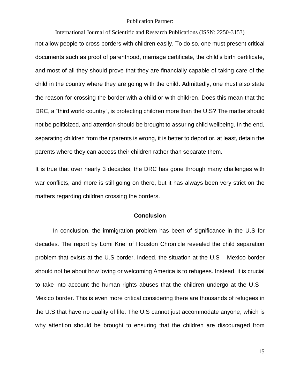International Journal of Scientific and Research Publications (ISSN: 2250-3153)

not allow people to cross borders with children easily. To do so, one must present critical documents such as proof of parenthood, marriage certificate, the child's birth certificate, and most of all they should prove that they are financially capable of taking care of the child in the country where they are going with the child. Admittedly, one must also state the reason for crossing the border with a child or with children. Does this mean that the DRC, a "third world country", is protecting children more than the U.S? The matter should not be politicized, and attention should be brought to assuring child wellbeing. In the end, separating children from their parents is wrong, it is better to deport or, at least, detain the parents where they can access their children rather than separate them.

It is true that over nearly 3 decades, the DRC has gone through many challenges with war conflicts, and more is still going on there, but it has always been very strict on the matters regarding children crossing the borders.

#### **Conclusion**

<span id="page-15-0"></span>In conclusion, the immigration problem has been of significance in the U.S for decades. The report by Lomi Kriel of Houston Chronicle revealed the child separation problem that exists at the U.S border. Indeed, the situation at the U.S – Mexico border should not be about how loving or welcoming America is to refugees. Instead, it is crucial to take into account the human rights abuses that the children undergo at the U.S – Mexico border. This is even more critical considering there are thousands of refugees in the U.S that have no quality of life. The U.S cannot just accommodate anyone, which is why attention should be brought to ensuring that the children are discouraged from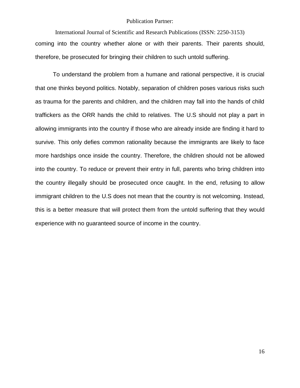International Journal of Scientific and Research Publications (ISSN: 2250-3153) coming into the country whether alone or with their parents. Their parents should, therefore, be prosecuted for bringing their children to such untold suffering.

To understand the problem from a humane and rational perspective, it is crucial that one thinks beyond politics. Notably, separation of children poses various risks such as trauma for the parents and children, and the children may fall into the hands of child traffickers as the ORR hands the child to relatives. The U.S should not play a part in allowing immigrants into the country if those who are already inside are finding it hard to survive. This only defies common rationality because the immigrants are likely to face more hardships once inside the country. Therefore, the children should not be allowed into the country. To reduce or prevent their entry in full, parents who bring children into the country illegally should be prosecuted once caught. In the end, refusing to allow immigrant children to the U.S does not mean that the country is not welcoming. Instead, this is a better measure that will protect them from the untold suffering that they would experience with no guaranteed source of income in the country.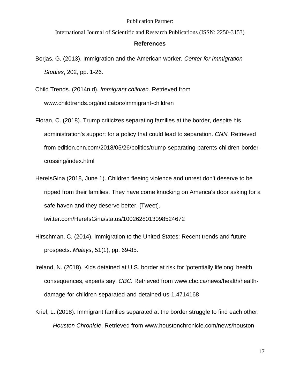International Journal of Scientific and Research Publications (ISSN: 2250-3153)

#### **References**

- <span id="page-17-0"></span>Borjas, G. (2013). Immigration and the American worker. *Center for Immigration Studies*, 202, pp. 1-26.
- Child Trends. (2014n.d). *Immigrant children.* Retrieved from [www.childtrends.org/indicators/immigrant-children](http://www.childtrends.org/indicators/immigrant-children)
- Floran, C. (2018). Trump criticizes separating families at the border, despite his administration's support for a policy that could lead to separation. *CNN.* Retrieved from [edition.cnn.com/2018/05/26/politics/trump-separating-parents-children-border](https://edition.cnn.com/2018/05/26/politics/trump-separating-parents-children-border-crossing/index.html)[crossing/index.html](https://edition.cnn.com/2018/05/26/politics/trump-separating-parents-children-border-crossing/index.html)
- HereIsGina (2018, June 1). Children fleeing violence and unrest don't deserve to be ripped from their families. They have come knocking on America's door asking for a safe haven and they deserve better. [Tweet]. [twitter.com/HereIsGina/status/1002628013098524672](https://twitter.com/HereIsGina/status/1002628013098524672)
- Hirschman, C. (2014). Immigration to the United States: Recent trends and future prospects. *Malays*, 51(1), pp. 69-85.
- Ireland, N. (2018). Kids detained at U.S. border at risk for 'potentially lifelong' health consequences, experts say. *CBC.* Retrieved from [www.cbc.ca/news/health/health](http://www.cbc.ca/news/health/health-damage-for-children-separated-and-detained-us-1.4714168)[damage-for-children-separated-and-detained-us-1.4714168](http://www.cbc.ca/news/health/health-damage-for-children-separated-and-detained-us-1.4714168)
- Kriel, L. (2018). Immigrant families separated at the border struggle to find each other. *Houston Chronicle*. Retrieved from [www.houstonchronicle.com/news/houston-](http://www.houstonchronicle.com/news/houston-texas/houston/article/Immigrant-families-separated-at-border-struggle-12938759.php)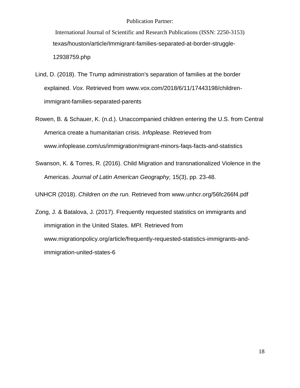International Journal of Scientific and Research Publications (ISSN: 2250-3153) [texas/houston/article/Immigrant-families-separated-at-border-struggle-](http://www.houstonchronicle.com/news/houston-texas/houston/article/Immigrant-families-separated-at-border-struggle-12938759.php)[12938759.php](http://www.houstonchronicle.com/news/houston-texas/houston/article/Immigrant-families-separated-at-border-struggle-12938759.php)

- Lind, D. (2018). The Trump administration's separation of families at the border explained. *Vox.* Retrieved from [www.vox.com/2018/6/11/17443198/children](http://www.vox.com/2018/6/11/17443198/children-immigrant-families-separated-parents)[immigrant-families-separated-parents](http://www.vox.com/2018/6/11/17443198/children-immigrant-families-separated-parents)
- Rowen, B. & Schauer, K. (n.d.). Unaccompanied children entering the U.S. from Central America create a humanitarian crisis. *Infoplease.* Retrieved from [www.infoplease.com/us/immigration/migrant-minors-faqs-facts-and-statistics](http://www.infoplease.com/us/immigration/migrant-minors-faqs-facts-and-statistics)
- Swanson, K. & Torres, R. (2016). Child Migration and transnationalized Violence in the Americas. *Journal of Latin American Geography,* 15(3), pp. 23-48.

UNHCR (2018). *Children on the run.* Retrieved from [www.unhcr.org/56fc266f4.pdf](http://www.unhcr.org/56fc266f4.pdf)

Zong, J. & Batalova, J. (2017). Frequently requested statistics on immigrants and immigration in the United States. *MPI.* Retrieved from [www.migrationpolicy.org/article/frequently-requested-statistics-immigrants-and](http://www.migrationpolicy.org/article/frequently-requested-statistics-immigrants-and-immigration-united-states-6)[immigration-united-states-6](http://www.migrationpolicy.org/article/frequently-requested-statistics-immigrants-and-immigration-united-states-6)